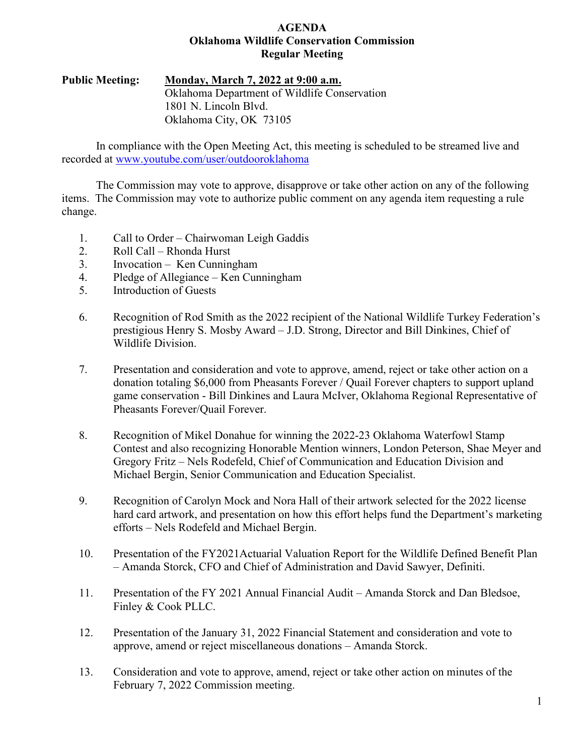### **AGENDA Oklahoma Wildlife Conservation Commission Regular Meeting**

### **Public Meeting: Monday, March 7, 2022 at 9:00 a.m.** Oklahoma Department of Wildlife Conservation 1801 N. Lincoln Blvd. Oklahoma City, OK 73105

In compliance with the Open Meeting Act, this meeting is scheduled to be streamed live and recorded at [www.youtube.com/user/outdooroklahoma](http://www.youtube.com/user/outdooroklahoma)

The Commission may vote to approve, disapprove or take other action on any of the following items. The Commission may vote to authorize public comment on any agenda item requesting a rule change.

- 1. Call to Order Chairwoman Leigh Gaddis
- 2. Roll Call Rhonda Hurst
- 3. Invocation Ken Cunningham
- 4. Pledge of Allegiance Ken Cunningham
- 5. Introduction of Guests
- 6. Recognition of Rod Smith as the 2022 recipient of the National Wildlife Turkey Federation's prestigious Henry S. Mosby Award – J.D. Strong, Director and Bill Dinkines, Chief of Wildlife Division.
- 7. Presentation and consideration and vote to approve, amend, reject or take other action on a donation totaling \$6,000 from Pheasants Forever / Quail Forever chapters to support upland game conservation - Bill Dinkines and Laura McIver, Oklahoma Regional Representative of Pheasants Forever/Quail Forever.
- 8. Recognition of Mikel Donahue for winning the 2022-23 Oklahoma Waterfowl Stamp Contest and also recognizing Honorable Mention winners, London Peterson, Shae Meyer and Gregory Fritz – Nels Rodefeld, Chief of Communication and Education Division and Michael Bergin, Senior Communication and Education Specialist.
- 9. Recognition of Carolyn Mock and Nora Hall of their artwork selected for the 2022 license hard card artwork, and presentation on how this effort helps fund the Department's marketing efforts – Nels Rodefeld and Michael Bergin.
- 10. Presentation of the FY2021Actuarial Valuation Report for the Wildlife Defined Benefit Plan – Amanda Storck, CFO and Chief of Administration and David Sawyer, Definiti.
- 11. Presentation of the FY 2021 Annual Financial Audit Amanda Storck and Dan Bledsoe, Finley & Cook PLLC.
- 12. Presentation of the January 31, 2022 Financial Statement and consideration and vote to approve, amend or reject miscellaneous donations – Amanda Storck.
- 13. Consideration and vote to approve, amend, reject or take other action on minutes of the February 7, 2022 Commission meeting.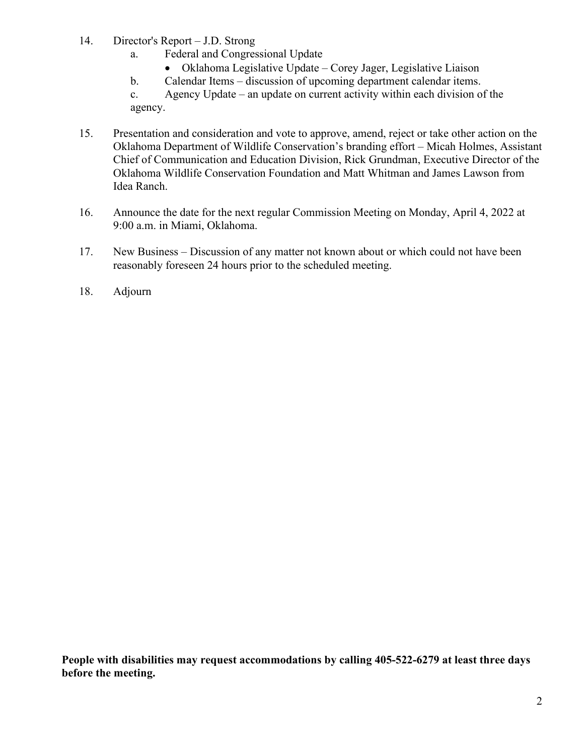- 14. Director's Report J.D. Strong
	- a. Federal and Congressional Update
		- Oklahoma Legislative Update Corey Jager, Legislative Liaison
	- b. Calendar Items discussion of upcoming department calendar items.

c. Agency Update – an update on current activity within each division of the agency.

- 15. Presentation and consideration and vote to approve, amend, reject or take other action on the Oklahoma Department of Wildlife Conservation's branding effort – Micah Holmes, Assistant Chief of Communication and Education Division, Rick Grundman, Executive Director of the Oklahoma Wildlife Conservation Foundation and Matt Whitman and James Lawson from Idea Ranch.
- 16. Announce the date for the next regular Commission Meeting on Monday, April 4, 2022 at 9:00 a.m. in Miami, Oklahoma.
- 17. New Business Discussion of any matter not known about or which could not have been reasonably foreseen 24 hours prior to the scheduled meeting.
- 18. Adjourn

**People with disabilities may request accommodations by calling 405-522-6279 at least three days before the meeting.**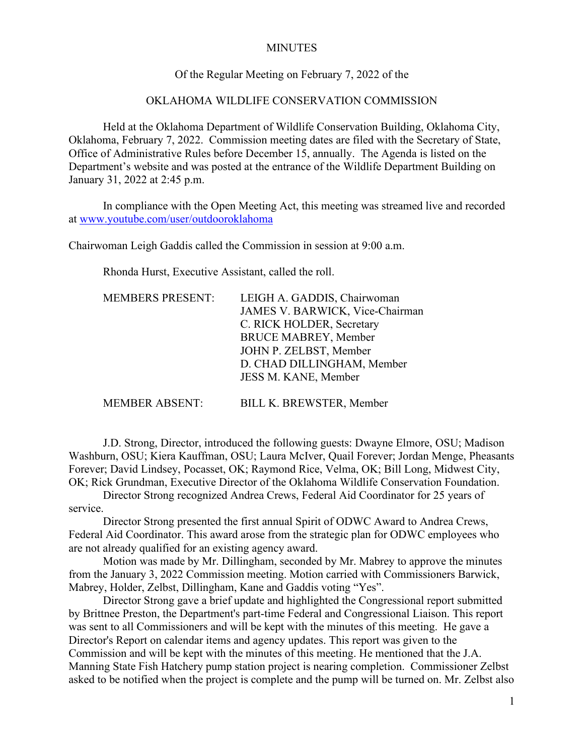### **MINUTES**

### Of the Regular Meeting on February 7, 2022 of the

### OKLAHOMA WILDLIFE CONSERVATION COMMISSION

Held at the Oklahoma Department of Wildlife Conservation Building, Oklahoma City, Oklahoma, February 7, 2022. Commission meeting dates are filed with the Secretary of State, Office of Administrative Rules before December 15, annually. The Agenda is listed on the Department's website and was posted at the entrance of the Wildlife Department Building on January 31, 2022 at 2:45 p.m.

In compliance with the Open Meeting Act, this meeting was streamed live and recorded at [www.youtube.com/user/outdooroklahoma](http://www.youtube.com/user/outdooroklahoma)

Chairwoman Leigh Gaddis called the Commission in session at 9:00 a.m.

Rhonda Hurst, Executive Assistant, called the roll.

| <b>MEMBERS PRESENT:</b> | LEIGH A. GADDIS, Chairwoman<br>JAMES V. BARWICK, Vice-Chairman<br>C. RICK HOLDER, Secretary<br><b>BRUCE MABREY, Member</b><br>JOHN P. ZELBST, Member<br>D. CHAD DILLINGHAM, Member<br>JESS M. KANE, Member |
|-------------------------|------------------------------------------------------------------------------------------------------------------------------------------------------------------------------------------------------------|
| <b>MEMBER ABSENT:</b>   | BILL K. BREWSTER, Member                                                                                                                                                                                   |

J.D. Strong, Director, introduced the following guests: Dwayne Elmore, OSU; Madison Washburn, OSU; Kiera Kauffman, OSU; Laura McIver, Quail Forever; Jordan Menge, Pheasants Forever; David Lindsey, Pocasset, OK; Raymond Rice, Velma, OK; Bill Long, Midwest City, OK; Rick Grundman, Executive Director of the Oklahoma Wildlife Conservation Foundation.

Director Strong recognized Andrea Crews, Federal Aid Coordinator for 25 years of service.

Director Strong presented the first annual Spirit of ODWC Award to Andrea Crews, Federal Aid Coordinator. This award arose from the strategic plan for ODWC employees who are not already qualified for an existing agency award.

Motion was made by Mr. Dillingham, seconded by Mr. Mabrey to approve the minutes from the January 3, 2022 Commission meeting. Motion carried with Commissioners Barwick, Mabrey, Holder, Zelbst, Dillingham, Kane and Gaddis voting "Yes".

Director Strong gave a brief update and highlighted the Congressional report submitted by Brittnee Preston, the Department's part-time Federal and Congressional Liaison. This report was sent to all Commissioners and will be kept with the minutes of this meeting. He gave a Director's Report on calendar items and agency updates. This report was given to the Commission and will be kept with the minutes of this meeting. He mentioned that the J.A. Manning State Fish Hatchery pump station project is nearing completion. Commissioner Zelbst asked to be notified when the project is complete and the pump will be turned on. Mr. Zelbst also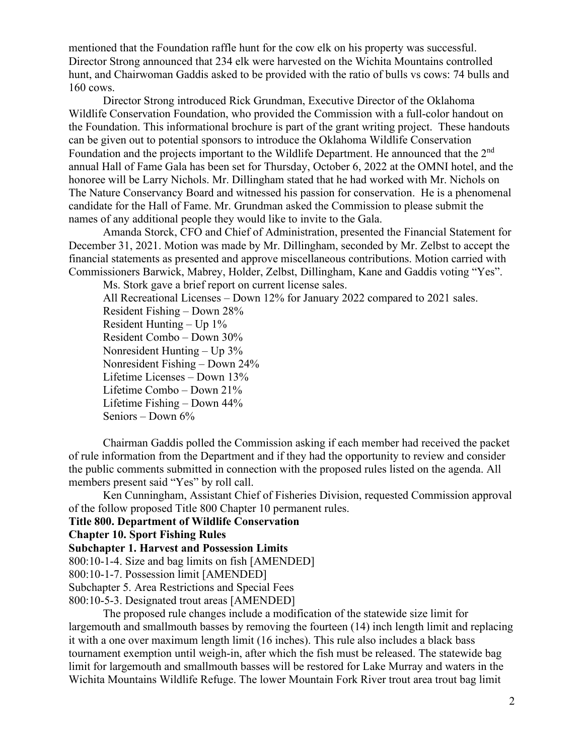mentioned that the Foundation raffle hunt for the cow elk on his property was successful. Director Strong announced that 234 elk were harvested on the Wichita Mountains controlled hunt, and Chairwoman Gaddis asked to be provided with the ratio of bulls vs cows: 74 bulls and 160 cows.

Director Strong introduced Rick Grundman, Executive Director of the Oklahoma Wildlife Conservation Foundation, who provided the Commission with a full-color handout on the Foundation. This informational brochure is part of the grant writing project. These handouts can be given out to potential sponsors to introduce the Oklahoma Wildlife Conservation Foundation and the projects important to the Wildlife Department. He announced that the 2<sup>nd</sup> annual Hall of Fame Gala has been set for Thursday, October 6, 2022 at the OMNI hotel, and the honoree will be Larry Nichols. Mr. Dillingham stated that he had worked with Mr. Nichols on The Nature Conservancy Board and witnessed his passion for conservation. He is a phenomenal candidate for the Hall of Fame. Mr. Grundman asked the Commission to please submit the names of any additional people they would like to invite to the Gala.

Amanda Storck, CFO and Chief of Administration, presented the Financial Statement for December 31, 2021. Motion was made by Mr. Dillingham, seconded by Mr. Zelbst to accept the financial statements as presented and approve miscellaneous contributions. Motion carried with Commissioners Barwick, Mabrey, Holder, Zelbst, Dillingham, Kane and Gaddis voting "Yes".

Ms. Stork gave a brief report on current license sales.

All Recreational Licenses – Down 12% for January 2022 compared to 2021 sales. Resident Fishing – Down 28% Resident Hunting  $-$  Up  $1\%$ Resident Combo – Down 30% Nonresident Hunting – Up 3% Nonresident Fishing – Down 24% Lifetime Licenses – Down 13% Lifetime Combo – Down 21% Lifetime Fishing – Down 44% Seniors – Down 6%

Chairman Gaddis polled the Commission asking if each member had received the packet of rule information from the Department and if they had the opportunity to review and consider the public comments submitted in connection with the proposed rules listed on the agenda. All members present said "Yes" by roll call.

Ken Cunningham, Assistant Chief of Fisheries Division, requested Commission approval of the follow proposed Title 800 Chapter 10 permanent rules.

**Title 800. Department of Wildlife Conservation**

**Chapter 10. Sport Fishing Rules**

**Subchapter 1. Harvest and Possession Limits**

800:10-1-4. Size and bag limits on fish [AMENDED]

800:10-1-7. Possession limit [AMENDED]

Subchapter 5. Area Restrictions and Special Fees

800:10-5-3. Designated trout areas [AMENDED]

The proposed rule changes include a modification of the statewide size limit for largemouth and smallmouth basses by removing the fourteen (14) inch length limit and replacing it with a one over maximum length limit (16 inches). This rule also includes a black bass tournament exemption until weigh-in, after which the fish must be released. The statewide bag limit for largemouth and smallmouth basses will be restored for Lake Murray and waters in the Wichita Mountains Wildlife Refuge. The lower Mountain Fork River trout area trout bag limit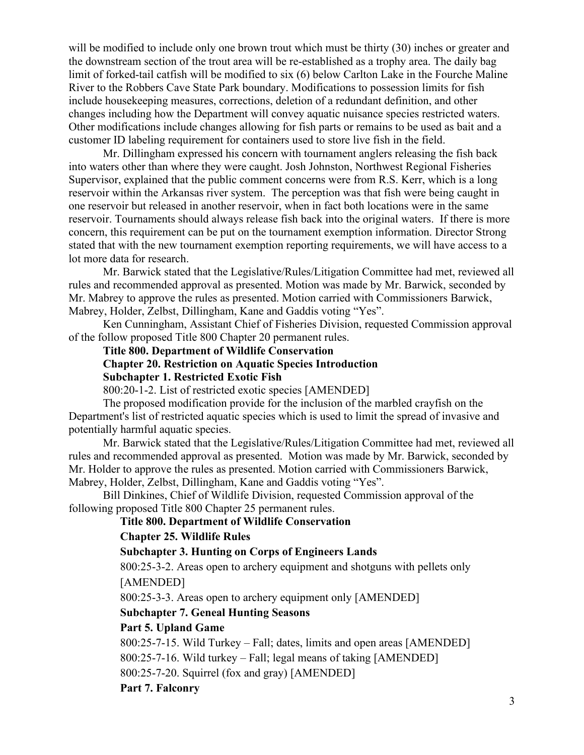will be modified to include only one brown trout which must be thirty (30) inches or greater and the downstream section of the trout area will be re-established as a trophy area. The daily bag limit of forked-tail catfish will be modified to six (6) below Carlton Lake in the Fourche Maline River to the Robbers Cave State Park boundary. Modifications to possession limits for fish include housekeeping measures, corrections, deletion of a redundant definition, and other changes including how the Department will convey aquatic nuisance species restricted waters. Other modifications include changes allowing for fish parts or remains to be used as bait and a customer ID labeling requirement for containers used to store live fish in the field.

Mr. Dillingham expressed his concern with tournament anglers releasing the fish back into waters other than where they were caught. Josh Johnston, Northwest Regional Fisheries Supervisor, explained that the public comment concerns were from R.S. Kerr, which is a long reservoir within the Arkansas river system. The perception was that fish were being caught in one reservoir but released in another reservoir, when in fact both locations were in the same reservoir. Tournaments should always release fish back into the original waters. If there is more concern, this requirement can be put on the tournament exemption information. Director Strong stated that with the new tournament exemption reporting requirements, we will have access to a lot more data for research.

Mr. Barwick stated that the Legislative/Rules/Litigation Committee had met, reviewed all rules and recommended approval as presented. Motion was made by Mr. Barwick, seconded by Mr. Mabrey to approve the rules as presented. Motion carried with Commissioners Barwick, Mabrey, Holder, Zelbst, Dillingham, Kane and Gaddis voting "Yes".

Ken Cunningham, Assistant Chief of Fisheries Division, requested Commission approval of the follow proposed Title 800 Chapter 20 permanent rules.

**Title 800. Department of Wildlife Conservation**

# **Chapter 20. Restriction on Aquatic Species Introduction**

**Subchapter 1. Restricted Exotic Fish**

800:20-1-2. List of restricted exotic species [AMENDED]

The proposed modification provide for the inclusion of the marbled crayfish on the Department's list of restricted aquatic species which is used to limit the spread of invasive and potentially harmful aquatic species.

Mr. Barwick stated that the Legislative/Rules/Litigation Committee had met, reviewed all rules and recommended approval as presented. Motion was made by Mr. Barwick, seconded by Mr. Holder to approve the rules as presented. Motion carried with Commissioners Barwick, Mabrey, Holder, Zelbst, Dillingham, Kane and Gaddis voting "Yes".

Bill Dinkines, Chief of Wildlife Division, requested Commission approval of the following proposed Title 800 Chapter 25 permanent rules.

### **Title 800. Department of Wildlife Conservation**

### **Chapter 25. Wildlife Rules**

### **Subchapter 3. Hunting on Corps of Engineers Lands**

800:25-3-2. Areas open to archery equipment and shotguns with pellets only [AMENDED]

800:25-3-3. Areas open to archery equipment only [AMENDED]

### **Subchapter 7. Geneal Hunting Seasons**

### **Part 5. Upland Game**

800:25-7-15. Wild Turkey – Fall; dates, limits and open areas [AMENDED]

800:25-7-16. Wild turkey – Fall; legal means of taking [AMENDED]

800:25-7-20. Squirrel (fox and gray) [AMENDED]

**Part 7. Falconry**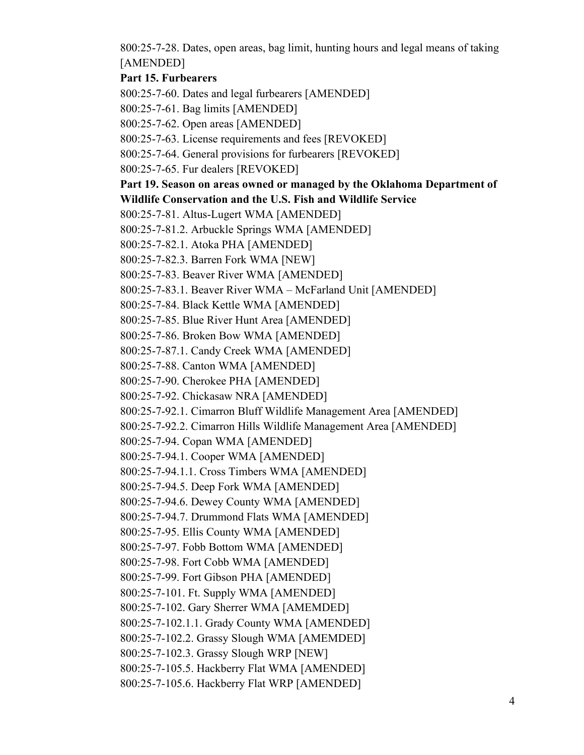800:25-7-28. Dates, open areas, bag limit, hunting hours and legal means of taking [AMENDED]

### **Part 15. Furbearers**

800:25-7-60. Dates and legal furbearers [AMENDED]

800:25-7-61. Bag limits [AMENDED]

800:25-7-62. Open areas [AMENDED]

800:25-7-63. License requirements and fees [REVOKED]

800:25-7-64. General provisions for furbearers [REVOKED]

800:25-7-65. Fur dealers [REVOKED]

### **Part 19. Season on areas owned or managed by the Oklahoma Department of Wildlife Conservation and the U.S. Fish and Wildlife Service**

800:25-7-81. Altus-Lugert WMA [AMENDED]

800:25-7-81.2. Arbuckle Springs WMA [AMENDED]

800:25-7-82.1. Atoka PHA [AMENDED]

800:25-7-82.3. Barren Fork WMA [NEW]

800:25-7-83. Beaver River WMA [AMENDED]

800:25-7-83.1. Beaver River WMA – McFarland Unit [AMENDED]

800:25-7-84. Black Kettle WMA [AMENDED]

800:25-7-85. Blue River Hunt Area [AMENDED]

800:25-7-86. Broken Bow WMA [AMENDED]

800:25-7-87.1. Candy Creek WMA [AMENDED]

800:25-7-88. Canton WMA [AMENDED]

800:25-7-90. Cherokee PHA [AMENDED]

800:25-7-92. Chickasaw NRA [AMENDED]

800:25-7-92.1. Cimarron Bluff Wildlife Management Area [AMENDED]

800:25-7-92.2. Cimarron Hills Wildlife Management Area [AMENDED]

800:25-7-94. Copan WMA [AMENDED]

800:25-7-94.1. Cooper WMA [AMENDED]

800:25-7-94.1.1. Cross Timbers WMA [AMENDED]

800:25-7-94.5. Deep Fork WMA [AMENDED]

800:25-7-94.6. Dewey County WMA [AMENDED]

800:25-7-94.7. Drummond Flats WMA [AMENDED]

800:25-7-95. Ellis County WMA [AMENDED]

800:25-7-97. Fobb Bottom WMA [AMENDED]

800:25-7-98. Fort Cobb WMA [AMENDED]

800:25-7-99. Fort Gibson PHA [AMENDED]

800:25-7-101. Ft. Supply WMA [AMENDED]

800:25-7-102. Gary Sherrer WMA [AMEMDED]

800:25-7-102.1.1. Grady County WMA [AMENDED]

800:25-7-102.2. Grassy Slough WMA [AMEMDED]

800:25-7-102.3. Grassy Slough WRP [NEW]

800:25-7-105.5. Hackberry Flat WMA [AMENDED]

800:25-7-105.6. Hackberry Flat WRP [AMENDED]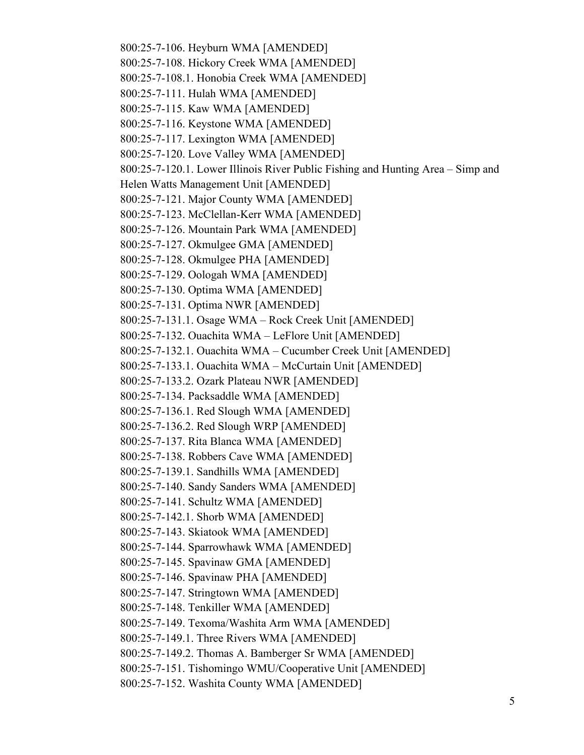800:25-7-106. Heyburn WMA [AMENDED] 800:25-7-108. Hickory Creek WMA [AMENDED] 800:25-7-108.1. Honobia Creek WMA [AMENDED] 800:25-7-111. Hulah WMA [AMENDED] 800:25-7-115. Kaw WMA [AMENDED] 800:25-7-116. Keystone WMA [AMENDED] 800:25-7-117. Lexington WMA [AMENDED] 800:25-7-120. Love Valley WMA [AMENDED] 800:25-7-120.1. Lower Illinois River Public Fishing and Hunting Area – Simp and Helen Watts Management Unit [AMENDED] 800:25-7-121. Major County WMA [AMENDED] 800:25-7-123. McClellan-Kerr WMA [AMENDED] 800:25-7-126. Mountain Park WMA [AMENDED] 800:25-7-127. Okmulgee GMA [AMENDED] 800:25-7-128. Okmulgee PHA [AMENDED] 800:25-7-129. Oologah WMA [AMENDED] 800:25-7-130. Optima WMA [AMENDED] 800:25-7-131. Optima NWR [AMENDED] 800:25-7-131.1. Osage WMA – Rock Creek Unit [AMENDED] 800:25-7-132. Ouachita WMA – LeFlore Unit [AMENDED] 800:25-7-132.1. Ouachita WMA – Cucumber Creek Unit [AMENDED] 800:25-7-133.1. Ouachita WMA – McCurtain Unit [AMENDED] 800:25-7-133.2. Ozark Plateau NWR [AMENDED] 800:25-7-134. Packsaddle WMA [AMENDED] 800:25-7-136.1. Red Slough WMA [AMENDED] 800:25-7-136.2. Red Slough WRP [AMENDED] 800:25-7-137. Rita Blanca WMA [AMENDED] 800:25-7-138. Robbers Cave WMA [AMENDED] 800:25-7-139.1. Sandhills WMA [AMENDED] 800:25-7-140. Sandy Sanders WMA [AMENDED] 800:25-7-141. Schultz WMA [AMENDED] 800:25-7-142.1. Shorb WMA [AMENDED] 800:25-7-143. Skiatook WMA [AMENDED] 800:25-7-144. Sparrowhawk WMA [AMENDED] 800:25-7-145. Spavinaw GMA [AMENDED] 800:25-7-146. Spavinaw PHA [AMENDED] 800:25-7-147. Stringtown WMA [AMENDED] 800:25-7-148. Tenkiller WMA [AMENDED] 800:25-7-149. Texoma/Washita Arm WMA [AMENDED] 800:25-7-149.1. Three Rivers WMA [AMENDED] 800:25-7-149.2. Thomas A. Bamberger Sr WMA [AMENDED] 800:25-7-151. Tishomingo WMU/Cooperative Unit [AMENDED] 800:25-7-152. Washita County WMA [AMENDED]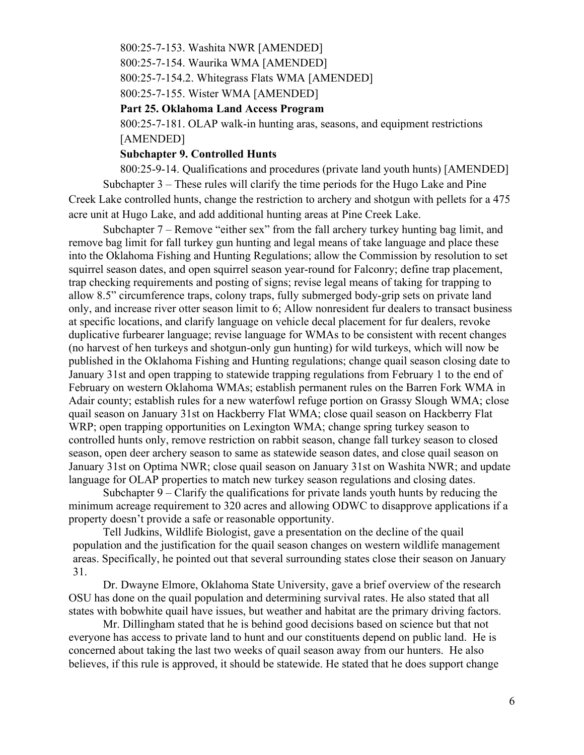800:25-7-153. Washita NWR [AMENDED]

800:25-7-154. Waurika WMA [AMENDED]

800:25-7-154.2. Whitegrass Flats WMA [AMENDED]

800:25-7-155. Wister WMA [AMENDED]

**Part 25. Oklahoma Land Access Program**

800:25-7-181. OLAP walk-in hunting aras, seasons, and equipment restrictions [AMENDED]

### **Subchapter 9. Controlled Hunts**

800:25-9-14. Qualifications and procedures (private land youth hunts) [AMENDED] Subchapter 3 – These rules will clarify the time periods for the Hugo Lake and Pine Creek Lake controlled hunts, change the restriction to archery and shotgun with pellets for a 475 acre unit at Hugo Lake, and add additional hunting areas at Pine Creek Lake.

Subchapter 7 – Remove "either sex" from the fall archery turkey hunting bag limit, and remove bag limit for fall turkey gun hunting and legal means of take language and place these into the Oklahoma Fishing and Hunting Regulations; allow the Commission by resolution to set squirrel season dates, and open squirrel season year-round for Falconry; define trap placement, trap checking requirements and posting of signs; revise legal means of taking for trapping to allow 8.5" circumference traps, colony traps, fully submerged body-grip sets on private land only, and increase river otter season limit to 6; Allow nonresident fur dealers to transact business at specific locations, and clarify language on vehicle decal placement for fur dealers, revoke duplicative furbearer language; revise language for WMAs to be consistent with recent changes (no harvest of hen turkeys and shotgun-only gun hunting) for wild turkeys, which will now be published in the Oklahoma Fishing and Hunting regulations; change quail season closing date to January 31st and open trapping to statewide trapping regulations from February 1 to the end of February on western Oklahoma WMAs; establish permanent rules on the Barren Fork WMA in Adair county; establish rules for a new waterfowl refuge portion on Grassy Slough WMA; close quail season on January 31st on Hackberry Flat WMA; close quail season on Hackberry Flat WRP; open trapping opportunities on Lexington WMA; change spring turkey season to controlled hunts only, remove restriction on rabbit season, change fall turkey season to closed season, open deer archery season to same as statewide season dates, and close quail season on January 31st on Optima NWR; close quail season on January 31st on Washita NWR; and update language for OLAP properties to match new turkey season regulations and closing dates.

Subchapter  $9 -$ Clarify the qualifications for private lands youth hunts by reducing the minimum acreage requirement to 320 acres and allowing ODWC to disapprove applications if a property doesn't provide a safe or reasonable opportunity.

Tell Judkins, Wildlife Biologist, gave a presentation on the decline of the quail population and the justification for the quail season changes on western wildlife management areas. Specifically, he pointed out that several surrounding states close their season on January 31.

Dr. Dwayne Elmore, Oklahoma State University, gave a brief overview of the research OSU has done on the quail population and determining survival rates. He also stated that all states with bobwhite quail have issues, but weather and habitat are the primary driving factors.

Mr. Dillingham stated that he is behind good decisions based on science but that not everyone has access to private land to hunt and our constituents depend on public land. He is concerned about taking the last two weeks of quail season away from our hunters. He also believes, if this rule is approved, it should be statewide. He stated that he does support change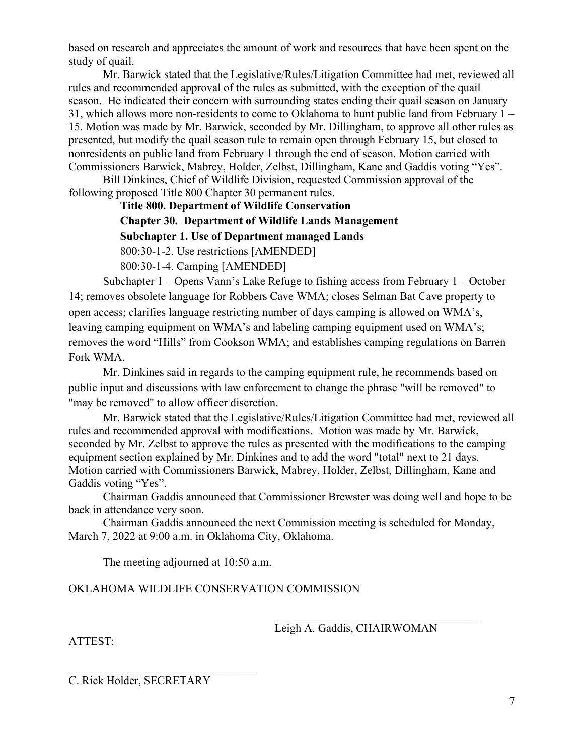based on research and appreciates the amount of work and resources that have been spent on the study of quail.

Mr. Barwick stated that the Legislative/Rules/Litigation Committee had met, reviewed all rules and recommended approval of the rules as submitted, with the exception of the quail season. He indicated their concern with surrounding states ending their quail season on January 31, which allows more non-residents to come to Oklahoma to hunt public land from February 1 – 15. Motion was made by Mr. Barwick, seconded by Mr. Dillingham, to approve all other rules as presented, but modify the quail season rule to remain open through February 15, but closed to nonresidents on public land from February 1 through the end of season. Motion carried with Commissioners Barwick, Mabrey, Holder, Zelbst, Dillingham, Kane and Gaddis voting "Yes".

Bill Dinkines, Chief of Wildlife Division, requested Commission approval of the following proposed Title 800 Chapter 30 permanent rules.

**Title 800. Department of Wildlife Conservation**

**Chapter 30. Department of Wildlife Lands Management**

**Subchapter 1. Use of Department managed Lands**

800:30-1-2. Use restrictions [AMENDED]

800:30-1-4. Camping [AMENDED]

Subchapter 1 – Opens Vann's Lake Refuge to fishing access from February 1 – October 14; removes obsolete language for Robbers Cave WMA; closes Selman Bat Cave property to open access; clarifies language restricting number of days camping is allowed on WMA's, leaving camping equipment on WMA's and labeling camping equipment used on WMA's; removes the word "Hills" from Cookson WMA; and establishes camping regulations on Barren Fork WMA.

Mr. Dinkines said in regards to the camping equipment rule, he recommends based on public input and discussions with law enforcement to change the phrase "will be removed" to "may be removed" to allow officer discretion.

Mr. Barwick stated that the Legislative/Rules/Litigation Committee had met, reviewed all rules and recommended approval with modifications. Motion was made by Mr. Barwick, seconded by Mr. Zelbst to approve the rules as presented with the modifications to the camping equipment section explained by Mr. Dinkines and to add the word "total" next to 21 days. Motion carried with Commissioners Barwick, Mabrey, Holder, Zelbst, Dillingham, Kane and Gaddis voting "Yes".

Chairman Gaddis announced that Commissioner Brewster was doing well and hope to be back in attendance very soon.

Chairman Gaddis announced the next Commission meeting is scheduled for Monday, March 7, 2022 at 9:00 a.m. in Oklahoma City, Oklahoma.

The meeting adjourned at 10:50 a.m.

OKLAHOMA WILDLIFE CONSERVATION COMMISSION

Leigh A. Gaddis, CHAIRWOMAN

 $\mathcal{L}_\mathcal{L}$  , which is a set of the set of the set of the set of the set of the set of the set of the set of the set of the set of the set of the set of the set of the set of the set of the set of the set of the set of

ATTEST:

C. Rick Holder, SECRETARY

 $\mathcal{L}_\mathcal{L}$  , where  $\mathcal{L}_\mathcal{L}$  , we have the set of the set of the set of the set of the set of the set of the set of the set of the set of the set of the set of the set of the set of the set of the set of the set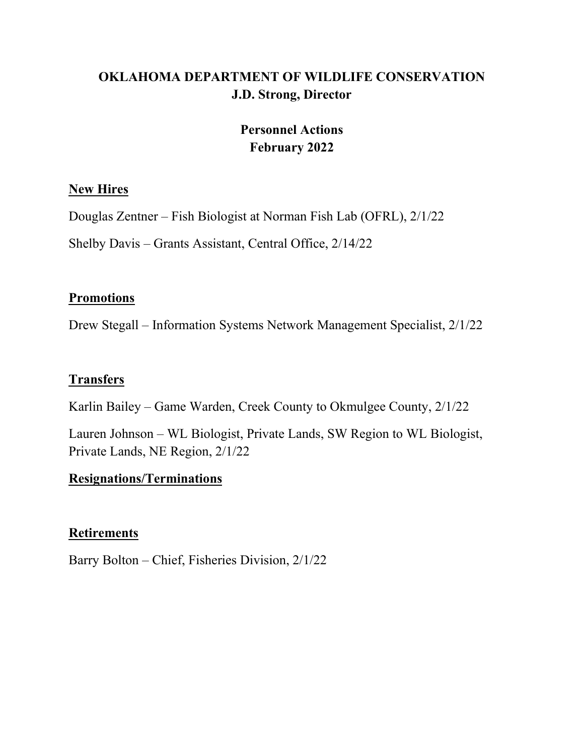# **OKLAHOMA DEPARTMENT OF WILDLIFE CONSERVATION J.D. Strong, Director**

# **Personnel Actions February 2022**

## **New Hires**

Douglas Zentner – Fish Biologist at Norman Fish Lab (OFRL), 2/1/22

Shelby Davis – Grants Assistant, Central Office, 2/14/22

# **Promotions**

Drew Stegall – Information Systems Network Management Specialist, 2/1/22

# **Transfers**

Karlin Bailey – Game Warden, Creek County to Okmulgee County, 2/1/22

Lauren Johnson – WL Biologist, Private Lands, SW Region to WL Biologist, Private Lands, NE Region, 2/1/22

# **Resignations/Terminations**

# **Retirements**

Barry Bolton – Chief, Fisheries Division, 2/1/22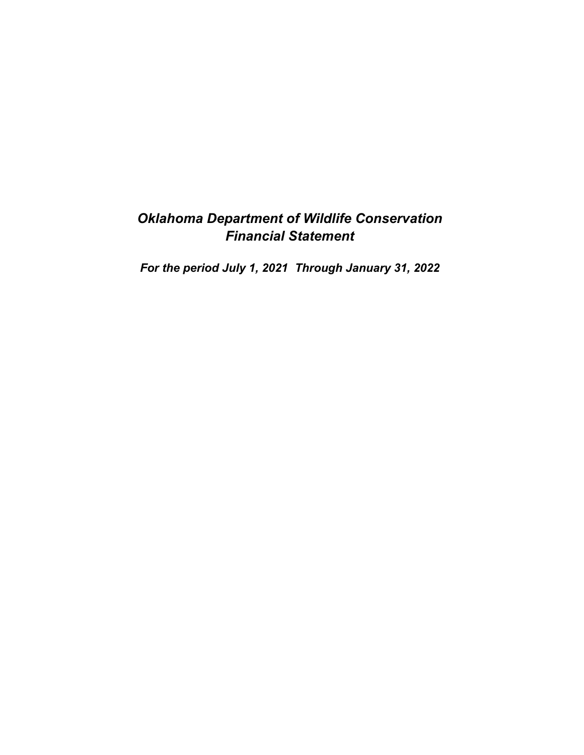# *Oklahoma Department of Wildlife Conservation Financial Statement*

*For the period July 1, 2021 Through January 31, 2022*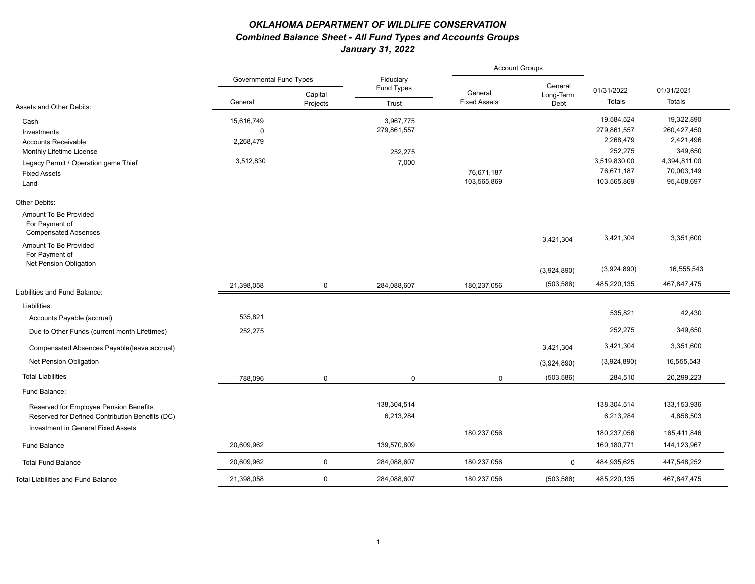### *OKLAHOMA DEPARTMENT OF WILDLIFE CONSERVATION Combined Balance Sheet - All Fund Types and Accounts Groups January 31, 2022*

|                                                                        |                                |                     |                         | <b>Account Groups</b>          |                   |              |               |
|------------------------------------------------------------------------|--------------------------------|---------------------|-------------------------|--------------------------------|-------------------|--------------|---------------|
|                                                                        | <b>Governmental Fund Types</b> |                     | Fiduciary<br>Fund Types |                                | General           | 01/31/2022   | 01/31/2021    |
| Assets and Other Debits:                                               | General                        | Capital<br>Projects | Trust                   | General<br><b>Fixed Assets</b> | Long-Term<br>Debt | Totals       | Totals        |
| Cash                                                                   | 15,616,749                     |                     | 3,967,775               |                                |                   | 19,584,524   | 19,322,890    |
| Investments                                                            | $\mathbf 0$                    |                     | 279,861,557             |                                |                   | 279,861,557  | 260,427,450   |
| <b>Accounts Receivable</b>                                             | 2,268,479                      |                     |                         |                                |                   | 2,268,479    | 2,421,496     |
| Monthly Lifetime License                                               |                                |                     | 252,275                 |                                |                   | 252,275      | 349,650       |
| Legacy Permit / Operation game Thief                                   | 3,512,830                      |                     | 7,000                   |                                |                   | 3,519,830.00 | 4,394,811.00  |
| <b>Fixed Assets</b>                                                    |                                |                     |                         | 76,671,187                     |                   | 76,671,187   | 70,003,149    |
| Land                                                                   |                                |                     |                         | 103,565,869                    |                   | 103,565,869  | 95,408,697    |
| Other Debits:                                                          |                                |                     |                         |                                |                   |              |               |
| Amount To Be Provided<br>For Payment of<br><b>Compensated Absences</b> |                                |                     |                         |                                |                   |              |               |
| Amount To Be Provided<br>For Payment of                                |                                |                     |                         |                                | 3,421,304         | 3,421,304    | 3,351,600     |
| Net Pension Obligation                                                 |                                |                     |                         |                                | (3,924,890)       | (3,924,890)  | 16,555,543    |
| Liabilities and Fund Balance:                                          | 21,398,058                     | $\mathbf 0$         | 284,088,607             | 180,237,056                    | (503, 586)        | 485,220,135  | 467,847,475   |
|                                                                        |                                |                     |                         |                                |                   |              |               |
| Liabilities:                                                           |                                |                     |                         |                                |                   | 535,821      | 42,430        |
| Accounts Payable (accrual)                                             | 535,821                        |                     |                         |                                |                   |              |               |
| Due to Other Funds (current month Lifetimes)                           | 252,275                        |                     |                         |                                |                   | 252,275      | 349,650       |
| Compensated Absences Payable (leave accrual)                           |                                |                     |                         |                                | 3,421,304         | 3,421,304    | 3,351,600     |
| Net Pension Obligation                                                 |                                |                     |                         |                                | (3,924,890)       | (3,924,890)  | 16,555,543    |
| <b>Total Liabilities</b>                                               | 788,096                        | $\mathbf 0$         | $\mathbf 0$             | $\mathbf 0$                    | (503, 586)        | 284,510      | 20,299,223    |
| Fund Balance:                                                          |                                |                     |                         |                                |                   |              |               |
| Reserved for Employee Pension Benefits                                 |                                |                     | 138,304,514             |                                |                   | 138,304,514  | 133,153,936   |
| Reserved for Defined Contribution Benefits (DC)                        |                                |                     | 6,213,284               |                                |                   | 6,213,284    | 4,858,503     |
| Investment in General Fixed Assets                                     |                                |                     |                         | 180,237,056                    |                   | 180,237,056  | 165,411,846   |
| <b>Fund Balance</b>                                                    | 20,609,962                     |                     | 139,570,809             |                                |                   | 160,180,771  | 144, 123, 967 |
| <b>Total Fund Balance</b>                                              | 20,609,962                     | $\mathbf 0$         | 284,088,607             | 180,237,056                    | $\mathbf 0$       | 484,935,625  | 447,548,252   |
| <b>Total Liabilities and Fund Balance</b>                              | 21,398,058                     | $\mathbf 0$         | 284,088,607             | 180,237,056                    | (503, 586)        | 485,220,135  | 467,847,475   |
|                                                                        |                                |                     |                         |                                |                   |              |               |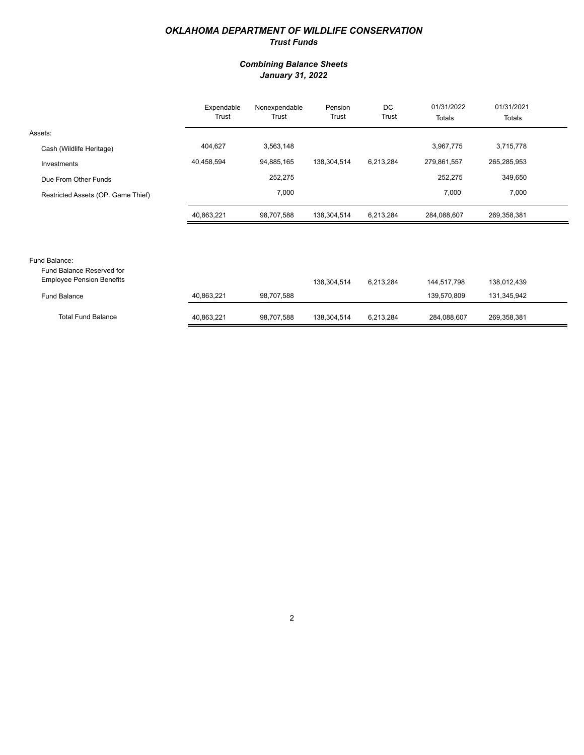### *OKLAHOMA DEPARTMENT OF WILDLIFE CONSERVATION Trust Funds*

### *Combining Balance Sheets January 31, 2022*

|                                                               | Expendable<br>Trust | Nonexpendable<br>Trust | Pension<br>Trust | DC<br>Trust | 01/31/2022<br>Totals | 01/31/2021<br>Totals |  |
|---------------------------------------------------------------|---------------------|------------------------|------------------|-------------|----------------------|----------------------|--|
| Assets:                                                       |                     |                        |                  |             |                      |                      |  |
| Cash (Wildlife Heritage)                                      | 404,627             | 3,563,148              |                  |             | 3,967,775            | 3,715,778            |  |
| Investments                                                   | 40,458,594          | 94,885,165             | 138,304,514      | 6,213,284   | 279,861,557          | 265,285,953          |  |
| Due From Other Funds                                          |                     | 252,275                |                  |             | 252,275              | 349,650              |  |
| Restricted Assets (OP. Game Thief)                            |                     | 7,000                  |                  |             | 7,000                | 7,000                |  |
|                                                               | 40,863,221          | 98,707,588             | 138,304,514      | 6,213,284   | 284,088,607          | 269,358,381          |  |
|                                                               |                     |                        |                  |             |                      |                      |  |
| Fund Balance:                                                 |                     |                        |                  |             |                      |                      |  |
| Fund Balance Reserved for<br><b>Employee Pension Benefits</b> |                     |                        | 138,304,514      | 6,213,284   | 144,517,798          | 138,012,439          |  |
| <b>Fund Balance</b>                                           | 40,863,221          | 98,707,588             |                  |             | 139,570,809          | 131,345,942          |  |

| <b>Total Fund Balance</b> | 40.863.221 | 98,707,588 | 138,304,514 | 6,213,284 | 284.088.607 | 269,358,381 |
|---------------------------|------------|------------|-------------|-----------|-------------|-------------|
|                           |            |            |             |           |             |             |
| Balance                   | 40.863.221 | 98.707.588 |             |           | 139.570.809 | 131.345.942 |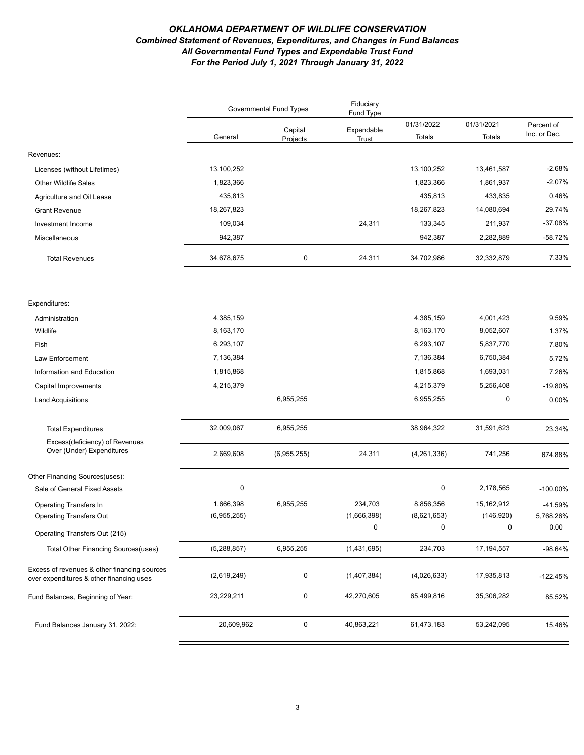#### *OKLAHOMA DEPARTMENT OF WILDLIFE CONSERVATION Combined Statement of Revenues, Expenditures, and Changes in Fund Balances All Governmental Fund Types and Expendable Trust Fund For the Period July 1, 2021 Through January 31, 2022*

|                                                                                          | Governmental Fund Types |                     | Fiduciary<br>Fund Type |                        |                        |                            |
|------------------------------------------------------------------------------------------|-------------------------|---------------------|------------------------|------------------------|------------------------|----------------------------|
|                                                                                          | General                 | Capital<br>Projects | Expendable<br>Trust    | 01/31/2022<br>Totals   | 01/31/2021<br>Totals   | Percent of<br>Inc. or Dec. |
| Revenues:                                                                                |                         |                     |                        |                        |                        |                            |
| Licenses (without Lifetimes)                                                             | 13,100,252              |                     |                        | 13,100,252             | 13,461,587             | $-2.68%$                   |
| Other Wildlife Sales                                                                     | 1,823,366               |                     |                        | 1,823,366              | 1,861,937              | $-2.07%$                   |
| Agriculture and Oil Lease                                                                | 435,813                 |                     |                        | 435,813                | 433,835                | 0.46%                      |
| <b>Grant Revenue</b>                                                                     | 18,267,823              |                     |                        | 18,267,823             | 14,080,694             | 29.74%                     |
| Investment Income                                                                        | 109,034                 |                     | 24,311                 | 133,345                | 211,937                | $-37.08%$                  |
| Miscellaneous                                                                            | 942,387                 |                     |                        | 942,387                | 2,282,889              | $-58.72%$                  |
| <b>Total Revenues</b>                                                                    | 34,678,675              | $\pmb{0}$           | 24,311                 | 34,702,986             | 32,332,879             | 7.33%                      |
|                                                                                          |                         |                     |                        |                        |                        |                            |
| Expenditures:                                                                            |                         |                     |                        |                        |                        |                            |
| Administration<br>Wildlife                                                               | 4,385,159<br>8,163,170  |                     |                        | 4,385,159<br>8,163,170 | 4,001,423<br>8,052,607 | 9.59%<br>1.37%             |
| Fish                                                                                     | 6,293,107               |                     |                        | 6,293,107              | 5,837,770              | 7.80%                      |
| Law Enforcement                                                                          | 7,136,384               |                     |                        | 7,136,384              | 6,750,384              | 5.72%                      |
| Information and Education                                                                | 1,815,868               |                     |                        | 1,815,868              | 1,693,031              | 7.26%                      |
| Capital Improvements                                                                     | 4,215,379               |                     |                        | 4,215,379              | 5,256,408              | $-19.80%$                  |
| <b>Land Acquisitions</b>                                                                 |                         | 6,955,255           |                        | 6,955,255              | 0                      | 0.00%                      |
|                                                                                          |                         |                     |                        |                        |                        |                            |
| <b>Total Expenditures</b>                                                                | 32,009,067              | 6,955,255           |                        | 38,964,322             | 31,591,623             | 23.34%                     |
| Excess(deficiency) of Revenues                                                           |                         |                     |                        |                        |                        |                            |
| Over (Under) Expenditures                                                                | 2,669,608               | (6,955,255)         | 24,311                 | (4,261,336)            | 741,256                | 674.88%                    |
| Other Financing Sources(uses):                                                           |                         |                     |                        |                        |                        |                            |
| Sale of General Fixed Assets                                                             | $\pmb{0}$               |                     |                        | 0                      | 2,178,565              | $-100.00\%$                |
| <b>Operating Transfers In</b>                                                            | 1,666,398               | 6,955,255           | 234,703                | 8,856,356              | 15,162,912             | -41.59%                    |
| <b>Operating Transfers Out</b>                                                           | (6,955,255)             |                     | (1,666,398)            | (8,621,653)            | (146, 920)             | 5,768.26%                  |
| Operating Transfers Out (215)                                                            |                         |                     | $\Omega$               | $\Omega$               | $\Omega$               | 0.00                       |
| Total Other Financing Sources (uses)                                                     | (5,288,857)             | 6,955,255           | (1,431,695)            | 234,703                | 17, 194, 557           | $-98.64%$                  |
| Excess of revenues & other financing sources<br>over expenditures & other financing uses | (2,619,249)             | 0                   | (1,407,384)            | (4,026,633)            | 17,935,813             | $-122.45%$                 |
| Fund Balances, Beginning of Year:                                                        | 23,229,211              | 0                   | 42,270,605             | 65,499,816             | 35,306,282             | 85.52%                     |
| Fund Balances January 31, 2022:                                                          | 20,609,962              | $\mathbf 0$         | 40,863,221             | 61,473,183             | 53,242,095             | 15.46%                     |
|                                                                                          |                         |                     |                        |                        |                        |                            |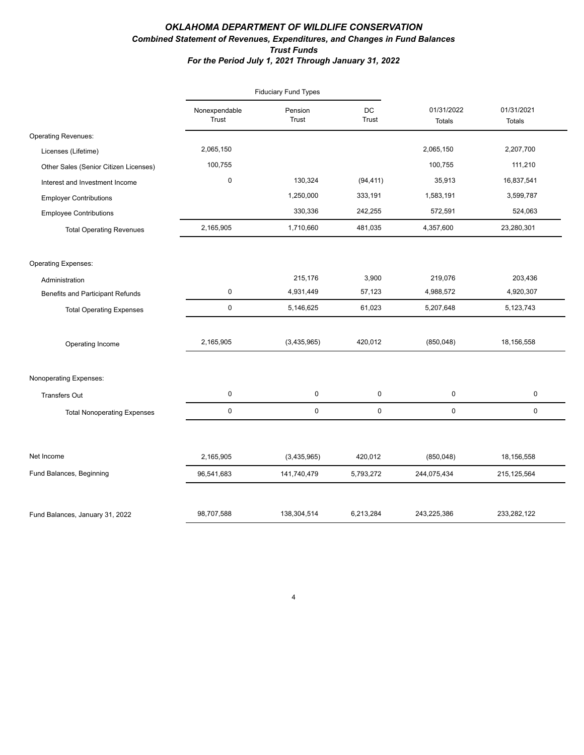### *OKLAHOMA DEPARTMENT OF WILDLIFE CONSERVATION Combined Statement of Revenues, Expenditures, and Changes in Fund Balances Trust Funds For the Period July 1, 2021 Through January 31, 2022*

|                                       |                        | <b>Fiduciary Fund Types</b> |                    |                             |                             |
|---------------------------------------|------------------------|-----------------------------|--------------------|-----------------------------|-----------------------------|
|                                       | Nonexpendable<br>Trust | Pension<br>Trust            | DC<br><b>Trust</b> | 01/31/2022<br><b>Totals</b> | 01/31/2021<br><b>Totals</b> |
| <b>Operating Revenues:</b>            |                        |                             |                    |                             |                             |
| Licenses (Lifetime)                   | 2,065,150              |                             |                    | 2,065,150                   | 2,207,700                   |
| Other Sales (Senior Citizen Licenses) | 100,755                |                             |                    | 100,755                     | 111,210                     |
| Interest and Investment Income        | $\mathbf 0$            | 130,324                     | (94, 411)          | 35,913                      | 16,837,541                  |
| <b>Employer Contributions</b>         |                        | 1,250,000                   | 333,191            | 1,583,191                   | 3,599,787                   |
| <b>Employee Contributions</b>         |                        | 330,336                     | 242,255            | 572,591                     | 524,063                     |
| <b>Total Operating Revenues</b>       | 2,165,905              | 1,710,660                   | 481,035            | 4,357,600                   | 23,280,301                  |
| <b>Operating Expenses:</b>            |                        |                             |                    |                             |                             |
| Administration                        |                        | 215,176                     | 3,900              | 219,076                     | 203,436                     |
| Benefits and Participant Refunds      | $\mathbf 0$            | 4,931,449                   | 57,123             | 4,988,572                   | 4,920,307                   |
| <b>Total Operating Expenses</b>       | $\mathsf 0$            | 5,146,625                   | 61,023             | 5,207,648                   | 5,123,743                   |
| Operating Income                      | 2,165,905              | (3,435,965)                 | 420,012            | (850, 048)                  | 18,156,558                  |
| Nonoperating Expenses:                |                        |                             |                    |                             |                             |
| <b>Transfers Out</b>                  | 0                      | 0                           | 0                  | 0                           | 0                           |
| <b>Total Nonoperating Expenses</b>    | $\mathsf 0$            | $\mathsf 0$                 | 0                  | 0                           | 0                           |
|                                       |                        |                             |                    |                             |                             |
| Net Income                            | 2,165,905              | (3,435,965)                 | 420,012            | (850, 048)                  | 18,156,558                  |
| Fund Balances, Beginning              | 96,541,683             | 141,740,479                 | 5,793,272          | 244,075,434                 | 215, 125, 564               |
| Fund Balances, January 31, 2022       | 98,707,588             | 138,304,514                 | 6,213,284          | 243,225,386                 | 233,282,122                 |

4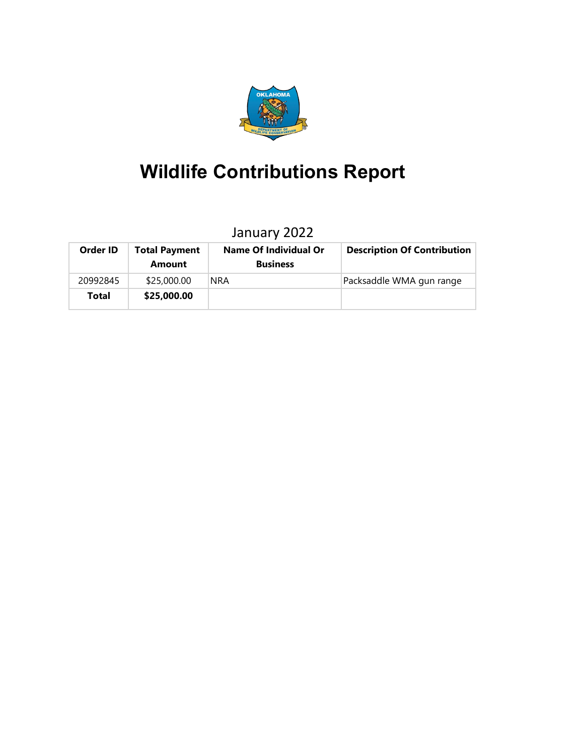

# **Wildlife Contributions Report**

# January 2022

| Order ID | <b>Total Payment</b><br>Amount | <b>Name Of Individual Or</b><br><b>Business</b> | <b>Description Of Contribution</b> |
|----------|--------------------------------|-------------------------------------------------|------------------------------------|
| 20992845 | \$25,000.00                    | <b>NRA</b>                                      | Packsaddle WMA gun range           |
| Total    | \$25,000.00                    |                                                 |                                    |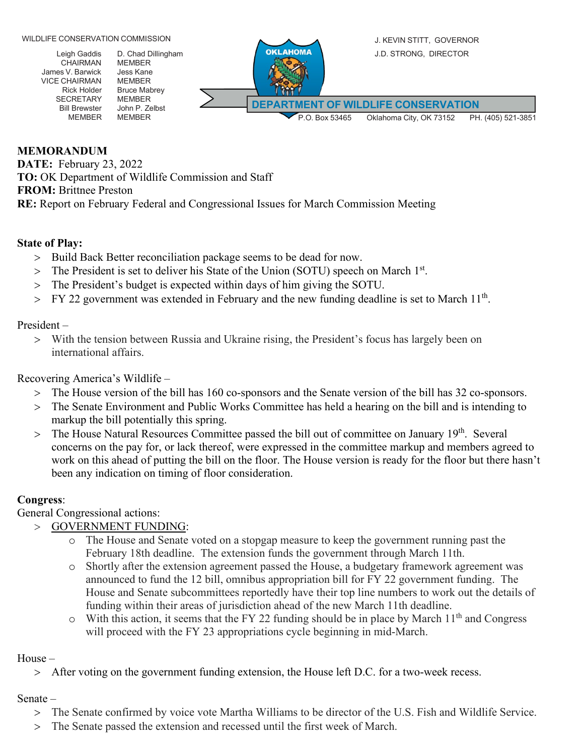Leigh Gaddis CHAIRMAN James V. Barwick VICE CHAIRMAN Rick Holder SECRETARY Bill Brewster MEMBER D. Chad Dillingham MEMBER Jess Kane MEMBER Bruce Mabrey MEMBER John P. Zelbst MEMBER



### **MEMORANDUM**

**DATE:** February 23, 2022 **TO:** OK Department of Wildlife Commission and Staff **FROM:** Brittnee Preston **RE:** Report on February Federal and Congressional Issues for March Commission Meeting

### **State of Play:**

- > Build Back Better reconciliation package seems to be dead for now.
- $>$  The President is set to deliver his State of the Union (SOTU) speech on March  $1<sup>st</sup>$ .
- > The President's budget is expected within days of him giving the SOTU.
- $>$  FY 22 government was extended in February and the new funding deadline is set to March 11<sup>th</sup>.

### President –

> With the tension between Russia and Ukraine rising, the President's focus has largely been on international affairs.

Recovering America's Wildlife –

- > The House version of the bill has 160 co-sponsors and the Senate version of the bill has 32 co-sponsors.
- > The Senate Environment and Public Works Committee has held a hearing on the bill and is intending to markup the bill potentially this spring.
- > The House Natural Resources Committee passed the bill out of committee on January 19<sup>th</sup>. Several concerns on the pay for, or lack thereof, were expressed in the committee markup and members agreed to work on this ahead of putting the bill on the floor. The House version is ready for the floor but there hasn't been any indication on timing of floor consideration.

### **Congress**:

General Congressional actions:

- > GOVERNMENT FUNDING:
	- o The House and Senate voted on a stopgap measure to keep the government running past the February 18th deadline. The extension funds the government through March 11th.
	- o Shortly after the extension agreement passed the House, a budgetary framework agreement was announced to fund the 12 bill, omnibus appropriation bill for FY 22 government funding. The House and Senate subcommittees reportedly have their top line numbers to work out the details of funding within their areas of jurisdiction ahead of the new March 11th deadline.
	- $\circ$  With this action, it seems that the FY 22 funding should be in place by March 11<sup>th</sup> and Congress will proceed with the FY 23 appropriations cycle beginning in mid-March.

### House –

> After voting on the government funding extension, the House left D.C. for a two-week recess.

### Senate –

- > The Senate confirmed by voice vote Martha Williams to be director of the U.S. Fish and Wildlife Service.
- > The Senate passed the extension and recessed until the first week of March.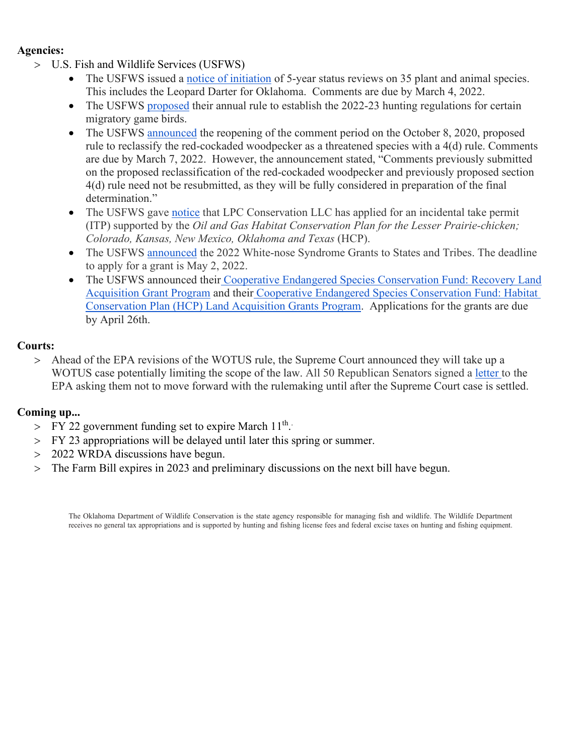### **Agencies:**

- > U.S. Fish and Wildlife Services (USFWS)
	- The USFWS issued a [notice of initiation](https://www.federalregister.gov/documents/2022/02/02/2022-02135/endangered-and-threatened-wildlife-and-plants-initiation-of-5-year-status-reviews-of-35-species-in?utm_source=federalregister.gov&utm_medium=email&utm_campaign=subscription+mailing+list) of 5-year status reviews on 35 plant and animal species. This includes the Leopard Darter for Oklahoma. Comments are due by March 4, 2022.
	- The USFWS [proposed](https://www.federalregister.gov/documents/2022/02/02/2022-01852/migratory-bird-hunting-2022-23-frameworks-for-migratory-bird-hunting-regulations?utm_source=federalregister.gov&utm_medium=email&utm_campaign=subscription+mailing+list) their annual rule to establish the 2022-23 hunting regulations for certain migratory game birds.
	- The USFWS [announced](https://www.federalregister.gov/documents/2022/02/03/2022-02006/endangered-and-threatened-wildlife-and-plants-reclassification-of-the-red-cockaded-woodpecker-from?utm_source=federalregister.gov&utm_medium=email&utm_campaign=subscription+mailing+list) the reopening of the comment period on the October 8, 2020, proposed rule to reclassify the red-cockaded woodpecker as a threatened species with a 4(d) rule. Comments are due by March 7, 2022. However, the announcement stated, "Comments previously submitted on the proposed reclassification of the red-cockaded woodpecker and previously proposed section 4(d) rule need not be resubmitted, as they will be fully considered in preparation of the final determination."
	- The USFWS gave [notice](https://www.federalregister.gov/documents/2022/02/11/2022-02939/application-for-an-incidental-take-permit-oil-and-gas-habitat-conservation-plan-for-the-lesser?utm_source=federalregister.gov&utm_medium=email&utm_campaign=subscription+mailing+list) that LPC Conservation LLC has applied for an incidental take permit (ITP) supported by the *Oil and Gas Habitat Conservation Plan for the Lesser Prairie-chicken; Colorado, Kansas, New Mexico, Oklahoma and Texas* (HCP).
	- The USFWS [announced](https://www.grants.gov/web/grants/view-opportunity.html?oppId=337964) the 2022 White-nose Syndrome Grants to States and Tribes. The deadline to apply for a grant is May 2, 2022.
	- The USFWS announced their [Cooperative Endangered Species Conservation Fund: Recovery Land](https://www.grants.gov/web/grants/view-opportunity.html?oppId=338181)  [Acquisition Grant Program](https://www.grants.gov/web/grants/view-opportunity.html?oppId=338181) and their [Cooperative Endangered Species Conservation Fund: Habitat](https://www.grants.gov/web/grants/view-opportunity.html?oppId=338179)  [Conservation Plan \(HCP\) Land Acquisition Grants Program.](https://www.grants.gov/web/grants/view-opportunity.html?oppId=338179) Applications for the grants are due by April 26th.

### **Courts:**

> Ahead of the EPA revisions of the WOTUS rule, the Supreme Court announced they will take up a WOTUS case potentially limiting the scope of the law. All 50 Republican Senators signed a [letter t](https://www.ernst.senate.gov/public/_cache/files/84251d6e-e3dc-4713-b354-1488b8b24d0d/553D752626488957666D327DD45A17A5.f31e12d280b1bdaa0e837dbc45a74edb.senate-republicans-wotus-comment-letter.pdf)o the EPA asking them not to move forward with the rulemaking until after the Supreme Court case is settled.

### **Coming up...**

- > FY 22 government funding set to expire March  $11^{\text{th}}$ .
- > FY 23 appropriations will be delayed until later this spring or summer.
- > 2022 WRDA discussions have begun.
- > The Farm Bill expires in 2023 and preliminary discussions on the next bill have begun.

The Oklahoma Department of Wildlife Conservation is the state agency responsible for managing fish and wildlife. The Wildlife Department receives no general tax appropriations and is supported by hunting and fishing license fees and federal excise taxes on hunting and fishing equipment.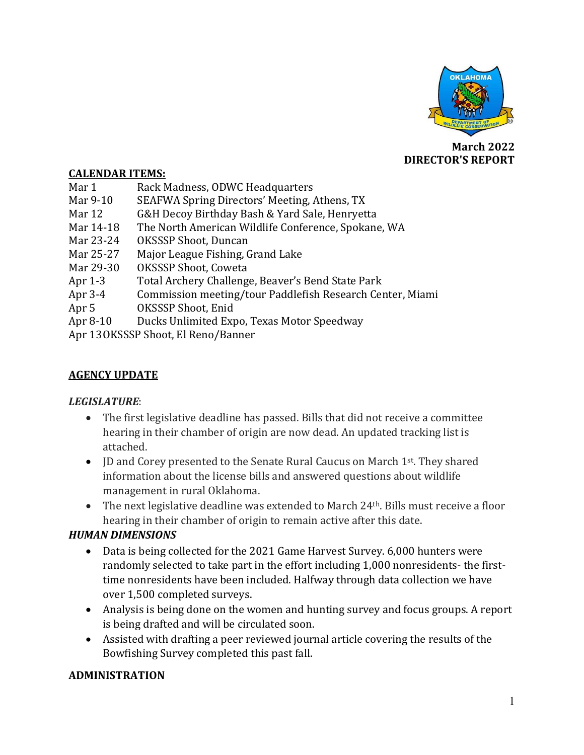

**March 2022 DIRECTOR'S REPORT**

### **CALENDAR ITEMS:**

- Mar 1 Rack Madness, ODWC Headquarters<br>
Mar 9-10 SEAFWA Spring Directors' Meeting.
- Mar 9-10 SEAFWA Spring Directors' Meeting, Athens, TX<br>Mar 12 G&H Decov Birthday Bash & Yard Sale, Henryet
- Mar 12 **G&H Decoy Birthday Bash & Yard Sale, Henryetta**<br>Mar 14-18 The North American Wildlife Conference, Spokane
- Mar 14-18 The North American Wildlife Conference, Spokane, WA<br>Mar 23-24 OKSSSP Shoot. Duncan
- Mar 23-24 OKSSSP Shoot, Duncan<br>Mar 25-27 Maior League Fishing. C
- Mar 25-27 Major League Fishing, Grand Lake<br>Mar 29-30 OKSSSP Shoot, Coweta
- Mar 29-30 OKSSSP Shoot, Coweta<br>Apr 1-3 Total Archery Challeng
- Apr 1-3 Total Archery Challenge, Beaver's Bend State Park<br>Apr 3-4 Commission meeting/tour Paddlefish Research Cer
- Apr 3-4 Commission meeting/tour Paddlefish Research Center, Miami<br>Apr 5 0KSSSP Shoot, Enid
- Apr 5 OKSSSP Shoot, Enid<br>Apr 8-10 Ducks Unlimited Exp
- Ducks Unlimited Expo, Texas Motor Speedway

Apr 13OKSSSP Shoot, El Reno/Banner

### **AGENCY UPDATE**

### *LEGISLATURE*:

- The first legislative deadline has passed. Bills that did not receive a committee hearing in their chamber of origin are now dead. An updated tracking list is attached.
- ID and Corey presented to the Senate Rural Caucus on March 1<sup>st</sup>. They shared information about the license bills and answered questions about wildlife management in rural Oklahoma.
- The next legislative deadline was extended to March 24<sup>th</sup>. Bills must receive a floor hearing in their chamber of origin to remain active after this date.

## *HUMAN DIMENSIONS*

- Data is being collected for the 2021 Game Harvest Survey. 6,000 hunters were randomly selected to take part in the effort including 1,000 nonresidents- the firsttime nonresidents have been included. Halfway through data collection we have over 1,500 completed surveys.
- Analysis is being done on the women and hunting survey and focus groups. A report is being drafted and will be circulated soon.
- Assisted with drafting a peer reviewed journal article covering the results of the Bowfishing Survey completed this past fall.

### **ADMINISTRATION**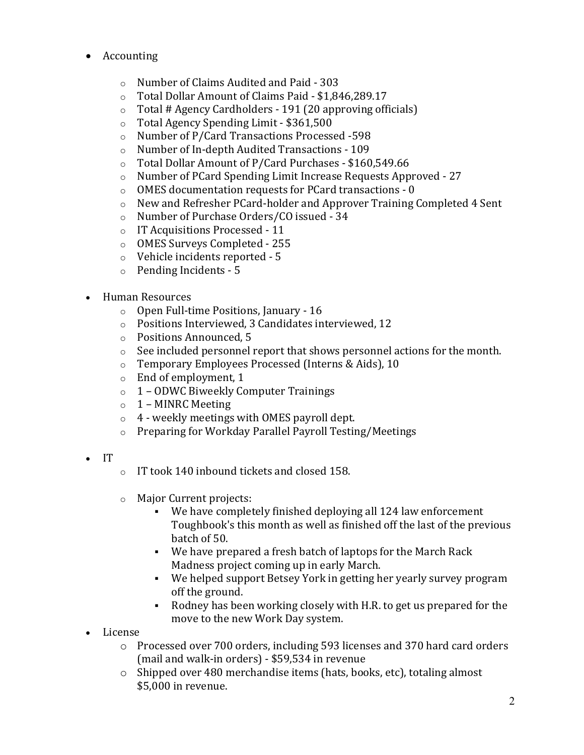- Accounting
	- o Number of Claims Audited and Paid 303
	- $\circ$  Total Dollar Amount of Claims Paid \$1,846,289.17<br> $\circ$  Total # Agency Cardholders 191 (20 approving off
	- Total # Agency Cardholders 191 (20 approving officials)
	- o Total Agency Spending Limit \$361,500<br>
	o Number of P/Card Transactions Process
	- Number of P/Card Transactions Processed -598
	- o Number of In-depth Audited Transactions 109
	- o Total Dollar Amount of P/Card Purchases \$160,549.66
	- $\circ$  Number of PCard Spending Limit Increase Requests Approved 27<br> $\circ$  OMES documentation requests for PCard transactions 0
	- OMES documentation requests for PCard transactions 0
	- $\circ$  New and Refresher PCard-holder and Approver Training Completed 4 Sent  $\circ$  Number of Purchase Orders/CO issued 34
	- Number of Purchase Orders/CO issued 34
	- o IT Acquisitions Processed 11
	- o OMES Surveys Completed 255
	- o Vehicle incidents reported 5
	- o Pending Incidents 5
- Human Resources
	- o Open Full-time Positions, January 16
	- o Positions Interviewed, 3 Candidates interviewed, 12
	- o Positions Announced, 5
	- o See included personnel report that shows personnel actions for the month.
	- $\circ$  Temporary Employees Processed (Interns & Aids), 10<br> $\circ$  End of employment, 1
	- End of employment, 1
	- o 1 ODWC Biweekly Computer Trainings
	- $\circ$  1 MINRC Meeting
	- $\circ$  4 weekly meetings with OMES payroll dept.
	- o Preparing for Workday Parallel Payroll Testing/Meetings
- IT
- o IT took 140 inbound tickets and closed 158.
- o Major Current projects:
	- We have completely finished deploying all 124 law enforcement Toughbook's this month as well as finished off the last of the previous batch of 50.
	- We have prepared a fresh batch of laptops for the March Rack Madness project coming up in early March.
	- We helped support Betsey York in getting her yearly survey program off the ground.
	- Rodney has been working closely with H.R. to get us prepared for the move to the new Work Day system.
- License
	- o Processed over 700 orders, including 593 licenses and 370 hard card orders (mail and walk-in orders) - \$59,534 in revenue
	- o Shipped over 480 merchandise items (hats, books, etc), totaling almost \$5,000 in revenue.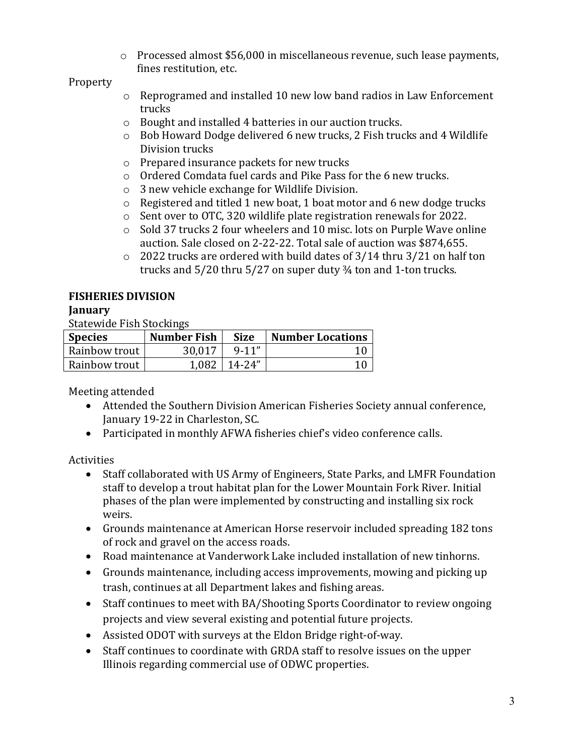o Processed almost \$56,000 in miscellaneous revenue, such lease payments, fines restitution, etc.

## Property

- o Reprogramed and installed 10 new low band radios in Law Enforcement trucks
- o Bought and installed 4 batteries in our auction trucks.
- o Bob Howard Dodge delivered 6 new trucks, 2 Fish trucks and 4 Wildlife Division trucks
- o Prepared insurance packets for new trucks
- o Ordered Comdata fuel cards and Pike Pass for the 6 new trucks.
- o 3 new vehicle exchange for Wildlife Division.
- o Registered and titled 1 new boat, 1 boat motor and 6 new dodge trucks
- o Sent over to OTC, 320 wildlife plate registration renewals for 2022.
- o Sold 37 trucks 2 four wheelers and 10 misc. lots on Purple Wave online auction. Sale closed on 2-22-22. Total sale of auction was \$874,655.
- o 2022 trucks are ordered with build dates of 3/14 thru 3/21 on half ton trucks and 5/20 thru 5/27 on super duty ¾ ton and 1-ton trucks.

# **FISHERIES DIVISION**

# **January**

Statewide Fish Stockings

| <b>Species</b> | <b>Number Fish</b> | <b>Size</b> | Number Locations |
|----------------|--------------------|-------------|------------------|
| Rainbow trout  | 30.017             | $9 - 11''$  |                  |
| Rainbow trout  | 1.082              | $14-24"$    |                  |

Meeting attended

- Attended the Southern Division American Fisheries Society annual conference, January 19-22 in Charleston, SC.
- Participated in monthly AFWA fisheries chief's video conference calls.

# Activities<br>Sta

- Staff collaborated with US Army of Engineers, State Parks, and LMFR Foundation staff to develop a trout habitat plan for the Lower Mountain Fork River. Initial phases of the plan were implemented by constructing and installing six rock weirs.
- Grounds maintenance at American Horse reservoir included spreading 182 tons of rock and gravel on the access roads.
- Road maintenance at Vanderwork Lake included installation of new tinhorns.
- Grounds maintenance, including access improvements, mowing and picking up trash, continues at all Department lakes and fishing areas.
- Staff continues to meet with BA/Shooting Sports Coordinator to review ongoing projects and view several existing and potential future projects.
- Assisted ODOT with surveys at the Eldon Bridge right-of-way.
- Staff continues to coordinate with GRDA staff to resolve issues on the upper Illinois regarding commercial use of ODWC properties.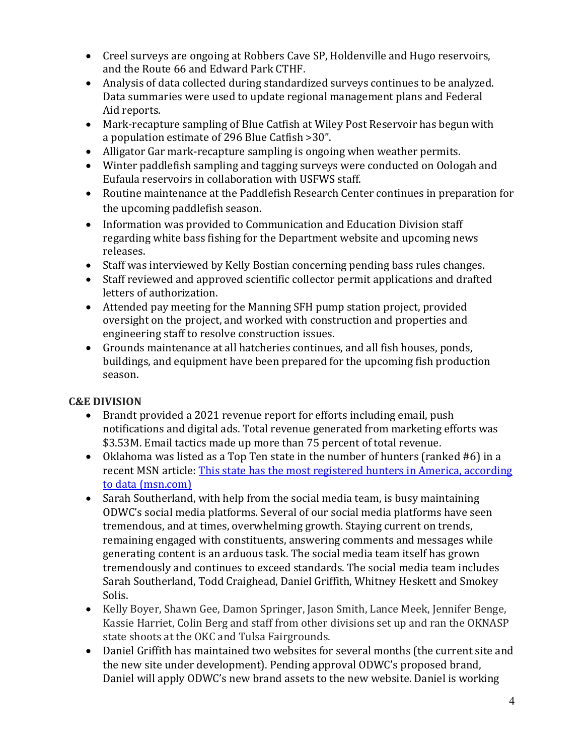- Creel surveys are ongoing at Robbers Cave SP, Holdenville and Hugo reservoirs, and the Route 66 and Edward Park CTHF.
- Analysis of data collected during standardized surveys continues to be analyzed. Data summaries were used to update regional management plans and Federal Aid reports.
- Mark-recapture sampling of Blue Catfish at Wiley Post Reservoir has begun with a population estimate of 296 Blue Catfish >30".
- Alligator Gar mark-recapture sampling is ongoing when weather permits.
- Winter paddlefish sampling and tagging surveys were conducted on Oologah and Eufaula reservoirs in collaboration with USFWS staff.
- Routine maintenance at the Paddlefish Research Center continues in preparation for the upcoming paddlefish season.
- Information was provided to Communication and Education Division staff regarding white bass fishing for the Department website and upcoming news releases.
- Staff was interviewed by Kelly Bostian concerning pending bass rules changes.
- Staff reviewed and approved scientific collector permit applications and drafted letters of authorization.
- Attended pay meeting for the Manning SFH pump station project, provided oversight on the project, and worked with construction and properties and engineering staff to resolve construction issues.
- Grounds maintenance at all hatcheries continues, and all fish houses, ponds, buildings, and equipment have been prepared for the upcoming fish production season.

# **C&E DIVISION**

- Brandt provided a 2021 revenue report for efforts including email, push notifications and digital ads. Total revenue generated from marketing efforts was \$3.53M. Email tactics made up more than 75 percent of total revenue.
- Oklahoma was listed as a Top Ten state in the number of hunters (ranked #6) in a recent MSN article: [This state has the most registered hunters in America, according](https://www.msn.com/en-us/news/us/this-state-has-the-most-registered-hunters-in-america-according-to-data/ss-AATPEik?ocid=msedgntp#image=46)  [to data \(msn.com\)](https://www.msn.com/en-us/news/us/this-state-has-the-most-registered-hunters-in-america-according-to-data/ss-AATPEik?ocid=msedgntp#image=46)
- Sarah Southerland, with help from the social media team, is busy maintaining ODWC's social media platforms. Several of our social media platforms have seen tremendous, and at times, overwhelming growth. Staying current on trends, remaining engaged with constituents, answering comments and messages while generating content is an arduous task. The social media team itself has grown tremendously and continues to exceed standards. The social media team includes Sarah Southerland, Todd Craighead, Daniel Griffith, Whitney Heskett and Smokey Solis.
- Kelly Boyer, Shawn Gee, Damon Springer, Jason Smith, Lance Meek, Jennifer Benge, Kassie Harriet, Colin Berg and staff from other divisions set up and ran the OKNASP state shoots at the OKC and Tulsa Fairgrounds.
- Daniel Griffith has maintained two websites for several months (the current site and the new site under development). Pending approval ODWC's proposed brand, Daniel will apply ODWC's new brand assets to the new website. Daniel is working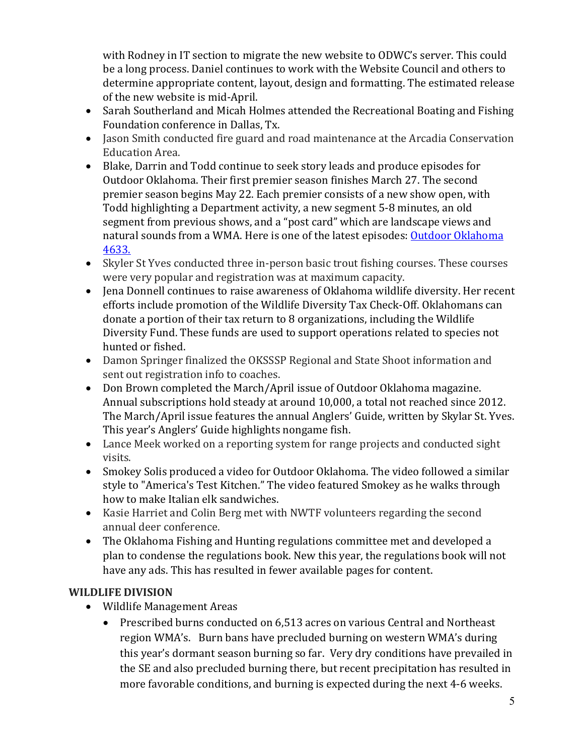with Rodney in IT section to migrate the new website to ODWC's server. This could be a long process. Daniel continues to work with the Website Council and others to determine appropriate content, layout, design and formatting. The estimated release of the new website is mid-April.

- Sarah Southerland and Micah Holmes attended the Recreational Boating and Fishing Foundation conference in Dallas, Tx.
- Jason Smith conducted fire guard and road maintenance at the Arcadia Conservation Education Area.
- Blake, Darrin and Todd continue to seek story leads and produce episodes for Outdoor Oklahoma. Their first premier season finishes March 27. The second premier season begins May 22. Each premier consists of a new show open, with Todd highlighting a Department activity, a new segment 5-8 minutes, an old segment from previous shows, and a "post card" which are landscape views and natural sounds from a WMA. Here is one of the latest episodes: **Outdoor Oklahoma** [4633.](https://www.youtube.com/watch?v=Khfs6mLm974)
- Skyler St Yves conducted three in-person basic trout fishing courses. These courses were very popular and registration was at maximum capacity.
- Jena Donnell continues to raise awareness of Oklahoma wildlife diversity. Her recent efforts include promotion of the Wildlife Diversity Tax Check-Off. Oklahomans can donate a portion of their tax return to 8 organizations, including the Wildlife Diversity Fund. These funds are used to support operations related to species not hunted or fished.
- Damon Springer finalized the OKSSSP Regional and State Shoot information and sent out registration info to coaches.
- Don Brown completed the March/April issue of Outdoor Oklahoma magazine. Annual subscriptions hold steady at around 10,000, a total not reached since 2012. The March/April issue features the annual Anglers' Guide, written by Skylar St. Yves. This year's Anglers' Guide highlights nongame fish.
- Lance Meek worked on a reporting system for range projects and conducted sight visits.
- Smokey Solis produced a video for Outdoor Oklahoma. The video followed a similar style to "America's Test Kitchen." The video featured Smokey as he walks through how to make Italian elk sandwiches.
- Kasie Harriet and Colin Berg met with NWTF volunteers regarding the second annual deer conference.
- The Oklahoma Fishing and Hunting regulations committee met and developed a plan to condense the regulations book. New this year, the regulations book will not have any ads. This has resulted in fewer available pages for content.

# **WILDLIFE DIVISION**

- Wildlife Management Areas
	- Prescribed burns conducted on 6,513 acres on various Central and Northeast region WMA's. Burn bans have precluded burning on western WMA's during this year's dormant season burning so far. Very dry conditions have prevailed in the SE and also precluded burning there, but recent precipitation has resulted in more favorable conditions, and burning is expected during the next 4-6 weeks.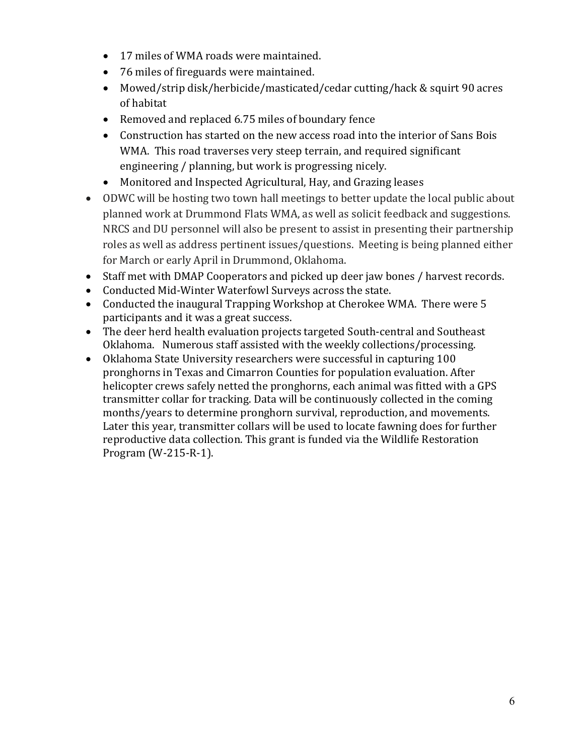- 17 miles of WMA roads were maintained.
- 76 miles of fireguards were maintained.
- Mowed/strip disk/herbicide/masticated/cedar cutting/hack & squirt 90 acres of habitat
- Removed and replaced 6.75 miles of boundary fence
- Construction has started on the new access road into the interior of Sans Bois WMA. This road traverses very steep terrain, and required significant engineering / planning, but work is progressing nicely.
- Monitored and Inspected Agricultural, Hay, and Grazing leases
- ODWC will be hosting two town hall meetings to better update the local public about planned work at Drummond Flats WMA, as well as solicit feedback and suggestions. NRCS and DU personnel will also be present to assist in presenting their partnership roles as well as address pertinent issues/questions. Meeting is being planned either for March or early April in Drummond, Oklahoma.
- Staff met with DMAP Cooperators and picked up deer jaw bones / harvest records.
- Conducted Mid-Winter Waterfowl Surveys across the state.
- Conducted the inaugural Trapping Workshop at Cherokee WMA. There were 5 participants and it was a great success.
- The deer herd health evaluation projects targeted South-central and Southeast Oklahoma. Numerous staff assisted with the weekly collections/processing.
- Oklahoma State University researchers were successful in capturing 100 pronghorns in Texas and Cimarron Counties for population evaluation. After helicopter crews safely netted the pronghorns, each animal was fitted with a GPS transmitter collar for tracking. Data will be continuously collected in the coming months/years to determine pronghorn survival, reproduction, and movements. Later this year, transmitter collars will be used to locate fawning does for further reproductive data collection. This grant is funded via the Wildlife Restoration Program (W-215-R-1).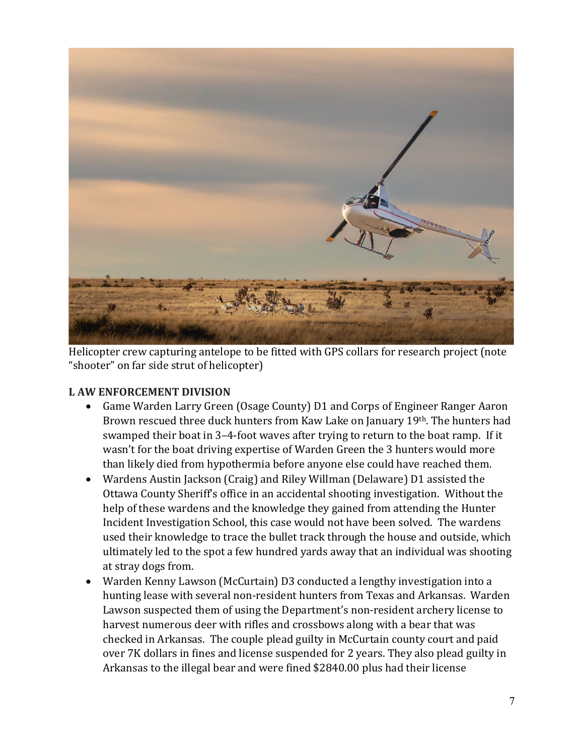

Helicopter crew capturing antelope to be fitted with GPS collars for research project (note "shooter" on far side strut of helicopter)

## **L AW ENFORCEMENT DIVISION**

- Game Warden Larry Green (Osage County) D1 and Corps of Engineer Ranger Aaron Brown rescued three duck hunters from Kaw Lake on January 19th. The hunters had swamped their boat in 3–4-foot waves after trying to return to the boat ramp. If it wasn't for the boat driving expertise of Warden Green the 3 hunters would more than likely died from hypothermia before anyone else could have reached them.
- Wardens Austin Jackson (Craig) and Riley Willman (Delaware) D1 assisted the Ottawa County Sheriff's office in an accidental shooting investigation. Without the help of these wardens and the knowledge they gained from attending the Hunter Incident Investigation School, this case would not have been solved. The wardens used their knowledge to trace the bullet track through the house and outside, which ultimately led to the spot a few hundred yards away that an individual was shooting at stray dogs from.
- Warden Kenny Lawson (McCurtain) D3 conducted a lengthy investigation into a hunting lease with several non-resident hunters from Texas and Arkansas. Warden Lawson suspected them of using the Department's non-resident archery license to harvest numerous deer with rifles and crossbows along with a bear that was checked in Arkansas. The couple plead guilty in McCurtain county court and paid over 7K dollars in fines and license suspended for 2 years. They also plead guilty in Arkansas to the illegal bear and were fined \$2840.00 plus had their license